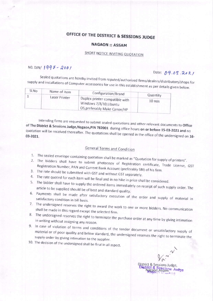# OFFICE OF THE DISTRICT & SESSIONS JUDGE

#### **NAGAON :: ASSAM**

## SHORT NOTICE INVITING QUOTATION

#### NO. DJN/1997-2001

### Date: 09.03.2021

Sealed quotations are hereby invited from reputed/authorized firms/dealers/distributors/shops for supply and installations of Computer accessories for use in this establishment as per details given below.

| SI.No | Name of item  |                                                                                          |          |
|-------|---------------|------------------------------------------------------------------------------------------|----------|
|       | Laser Printer | Configuration/Brand                                                                      | Quantity |
|       |               | Duplex printer compatible with<br>Windows 7/8/10, Ubuntu<br>OS, preferably Make Canon/HP | $10$ nos |

Intending firms are requested to submit sealed quotations and other relevant documents to Office of The District & Sessions Judge, Nagaon, PIN 782001 during office hours on or before 15-03-2021 and no quotation will be received thereafter. The quotations shall be opened in the office of the undersigned on 16-

### **General Terms and Condition**

- 1. The sealed envelope containing quotation shall be marked as "Quotation for supply of printers".
- 2. The bidders shall have to submit photocopy of Registration certificate, Trade License, GST Registration Number, PAN and Current Bank Account (preferably SBI) of his firm.
- 3. The rate should be submitted with GST and without GST separately.
- 4. The rate quoted for each item will be final and in no hike in price shall be considered.
- 5. The bidder shall have to supply the ordered items immediately on receipt of such supply order. The article to be supplied should be of best and standard quality.
- 6. Payments shall be made after satisfactory execution of the order and supply of material in satisfactory condition in bill basis.
- 7. The undersigned reserves the right to award the work to one or more bidders. No communication shall be made in this regard except the selected firm.
- 8. The undersigned reserves the right to terminate the purchase order at any time by giving intimation in writing without assigning any reason.
- 9. In case of violation of terms and conditions of the tender document or unsatisfactory supply of material or of poor quality and below standard, the undersigned reserves the right to terminate the supply order by giving intimation to the supplier.
- 10. The decision of the undersigned shall be final in all aspect.

 $V_{\alpha}$  m. & Sessions Judge, on Assam<sup>e</sup> Judge